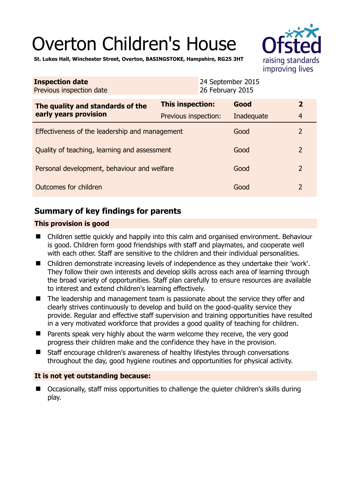# Overton Children's House



**St. Lukes Hall, Winchester Street, Overton, BASINGSTOKE, Hampshire, RG25 3HT** 

| <b>Inspection date</b><br>Previous inspection date        | 26 February 2015        | 24 September 2015 |                |
|-----------------------------------------------------------|-------------------------|-------------------|----------------|
| The quality and standards of the<br>early years provision | <b>This inspection:</b> | Good              | $\overline{2}$ |
|                                                           | Previous inspection:    | Inadequate        | $\overline{4}$ |
| Effectiveness of the leadership and management            |                         | Good              | $\overline{2}$ |
| Quality of teaching, learning and assessment              |                         | Good              | $\overline{2}$ |
| Personal development, behaviour and welfare               |                         | Good              | $\overline{2}$ |
| Outcomes for children                                     |                         | Good              | $\overline{2}$ |

# **Summary of key findings for parents**

### **This provision is good**

- Children settle quickly and happily into this calm and organised environment. Behaviour is good. Children form good friendships with staff and playmates, and cooperate well with each other. Staff are sensitive to the children and their individual personalities.
- Children demonstrate increasing levels of independence as they undertake their 'work'. They follow their own interests and develop skills across each area of learning through the broad variety of opportunities. Staff plan carefully to ensure resources are available to interest and extend children's learning effectively.
- The leadership and management team is passionate about the service they offer and clearly strives continuously to develop and build on the good-quality service they provide. Regular and effective staff supervision and training opportunities have resulted in a very motivated workforce that provides a good quality of teaching for children.
- $\blacksquare$  Parents speak very highly about the warm welcome they receive, the very good progress their children make and the confidence they have in the provision.
- Staff encourage children's awareness of healthy lifestyles through conversations throughout the day, good hygiene routines and opportunities for physical activity.

## **It is not yet outstanding because:**

■ Occasionally, staff miss opportunities to challenge the quieter children's skills during play.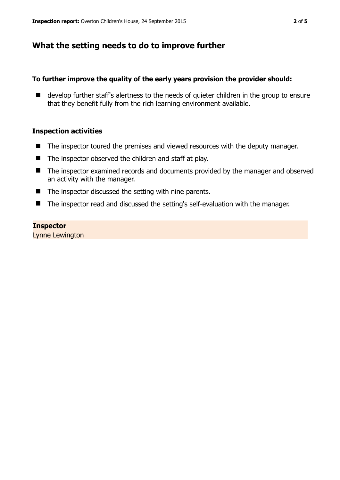## **What the setting needs to do to improve further**

#### **To further improve the quality of the early years provision the provider should:**

■ develop further staff's alertness to the needs of quieter children in the group to ensure that they benefit fully from the rich learning environment available.

#### **Inspection activities**

- The inspector toured the premises and viewed resources with the deputy manager.
- $\blacksquare$  The inspector observed the children and staff at play.
- The inspector examined records and documents provided by the manager and observed an activity with the manager.
- $\blacksquare$  The inspector discussed the setting with nine parents.
- The inspector read and discussed the setting's self-evaluation with the manager.

#### **Inspector**

Lynne Lewington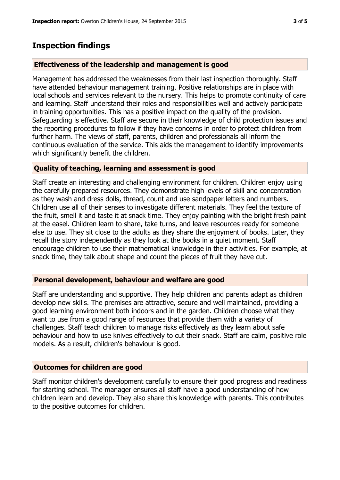## **Inspection findings**

#### **Effectiveness of the leadership and management is good**

Management has addressed the weaknesses from their last inspection thoroughly. Staff have attended behaviour management training. Positive relationships are in place with local schools and services relevant to the nursery. This helps to promote continuity of care and learning. Staff understand their roles and responsibilities well and actively participate in training opportunities. This has a positive impact on the quality of the provision. Safeguarding is effective. Staff are secure in their knowledge of child protection issues and the reporting procedures to follow if they have concerns in order to protect children from further harm. The views of staff, parents, children and professionals all inform the continuous evaluation of the service. This aids the management to identify improvements which significantly benefit the children.

#### **Quality of teaching, learning and assessment is good**

Staff create an interesting and challenging environment for children. Children enjoy using the carefully prepared resources. They demonstrate high levels of skill and concentration as they wash and dress dolls, thread, count and use sandpaper letters and numbers. Children use all of their senses to investigate different materials. They feel the texture of the fruit, smell it and taste it at snack time. They enjoy painting with the bright fresh paint at the easel. Children learn to share, take turns, and leave resources ready for someone else to use. They sit close to the adults as they share the enjoyment of books. Later, they recall the story independently as they look at the books in a quiet moment. Staff encourage children to use their mathematical knowledge in their activities. For example, at snack time, they talk about shape and count the pieces of fruit they have cut.

#### **Personal development, behaviour and welfare are good**

Staff are understanding and supportive. They help children and parents adapt as children develop new skills. The premises are attractive, secure and well maintained, providing a good learning environment both indoors and in the garden. Children choose what they want to use from a good range of resources that provide them with a variety of challenges. Staff teach children to manage risks effectively as they learn about safe behaviour and how to use knives effectively to cut their snack. Staff are calm, positive role models. As a result, children's behaviour is good.

#### **Outcomes for children are good**

Staff monitor children's development carefully to ensure their good progress and readiness for starting school. The manager ensures all staff have a good understanding of how children learn and develop. They also share this knowledge with parents. This contributes to the positive outcomes for children.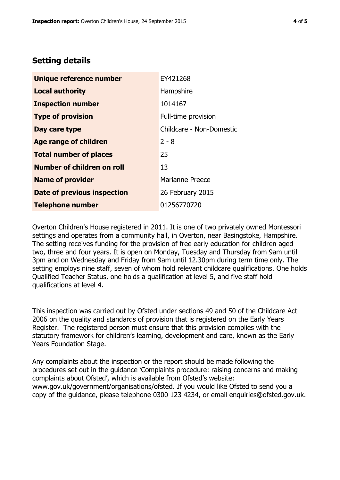## **Setting details**

| Unique reference number            | EY421268                 |
|------------------------------------|--------------------------|
| <b>Local authority</b>             | Hampshire                |
| <b>Inspection number</b>           | 1014167                  |
| <b>Type of provision</b>           | Full-time provision      |
| Day care type                      | Childcare - Non-Domestic |
| <b>Age range of children</b>       | $2 - 8$                  |
| <b>Total number of places</b>      | 25                       |
| Number of children on roll         | 13                       |
| <b>Name of provider</b>            | <b>Marianne Preece</b>   |
| <b>Date of previous inspection</b> | 26 February 2015         |
| <b>Telephone number</b>            | 01256770720              |

Overton Children's House registered in 2011. It is one of two privately owned Montessori settings and operates from a community hall, in Overton, near Basingstoke, Hampshire. The setting receives funding for the provision of free early education for children aged two, three and four years. It is open on Monday, Tuesday and Thursday from 9am until 3pm and on Wednesday and Friday from 9am until 12.30pm during term time only. The setting employs nine staff, seven of whom hold relevant childcare qualifications. One holds Qualified Teacher Status, one holds a qualification at level 5, and five staff hold qualifications at level 4.

This inspection was carried out by Ofsted under sections 49 and 50 of the Childcare Act 2006 on the quality and standards of provision that is registered on the Early Years Register. The registered person must ensure that this provision complies with the statutory framework for children's learning, development and care, known as the Early Years Foundation Stage.

Any complaints about the inspection or the report should be made following the procedures set out in the guidance 'Complaints procedure: raising concerns and making complaints about Ofsted', which is available from Ofsted's website: www.gov.uk/government/organisations/ofsted. If you would like Ofsted to send you a copy of the guidance, please telephone 0300 123 4234, or email enquiries@ofsted.gov.uk.